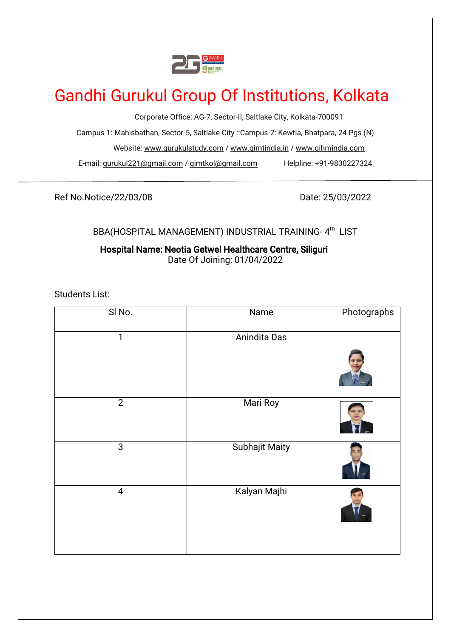

## Gandhi Gurukul Group Of Institutions, Kolkata

Corporate Office: AG-7, Sector-II, Saltlake City, Kolkata-700091

Campus 1: Mahisbathan, Sector-5, Saltlake City::Campus-2: Kewtia, Bhatpara, 24 Pgs (N)

Website: www.gurukulstudy.com / www.gimtindia.in / www.gihmindia.com

E-mail:gurukul221@gmail.com/gimtkol@gmail.com Helpline:+91-9830227324

RefNo.Notice/22/03/08 Date:25/03/2022

## BBA(HOSPITAL MANAGEMENT) INDUSTRIAL TRAINING-4<sup>th</sup> LIST

Hospital Name: Neotia Getwel Healthcare Centre, Siliguri Date Of Joining: 01/04/2022

Students List:

| SINo.          | Name                  | Photographs |
|----------------|-----------------------|-------------|
| 1              | Anindita Das          |             |
| $\overline{2}$ | Mari Roy              |             |
| $\sqrt{3}$     | <b>Subhajit Maity</b> |             |
| $\overline{4}$ | Kalyan Majhi          |             |